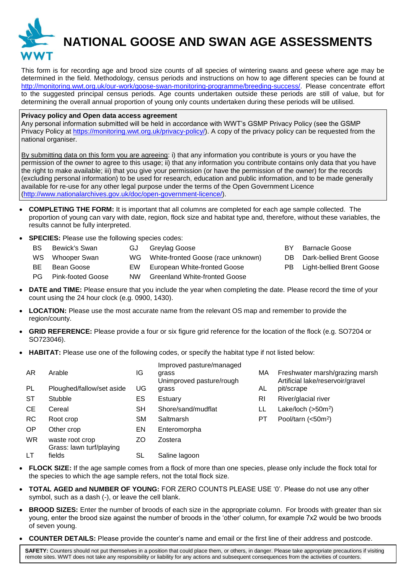

## **NATIONAL GOOSE AND SWAN AGE ASSESSMENTS**

This form is for recording age and brood size counts of all species of wintering swans and geese where age may be determined in the field. Methodology, census periods and instructions on how to age different species can be found at [http://monitoring.wwt.org.uk/our-work/goose-swan-monitoring-programme/breeding-success/.](http://monitoring.wwt.org.uk/our-work/goose-swan-monitoring-programme/breeding-success/) Please concentrate effort to the suggested principal census periods. Age counts undertaken outside these periods are still of value, but for determining the overall annual proportion of young only counts undertaken during these periods will be utilised.

## **Privacy policy and Open data access agreement**

Any personal information submitted will be held in accordance with WWT's GSMP Privacy Policy (see the GSMP Privacy Policy at [https://monitoring.wwt.org.uk/privacy-policy/\)](https://monitoring.wwt.org.uk/privacy-policy/). A copy of the privacy policy can be requested from the national organiser.

By submitting data on this form you are agreeing: i) that any information you contribute is yours or you have the permission of the owner to agree to this usage; ii) that any information you contribute contains only data that you have the right to make available; iii) that you give your permission (or have the permission of the owner) for the records (excluding personal information) to be used for research, education and public information, and to be made generally available for re-use for any other legal purpose under the terms of the Open Government Licence [\(http://www.nationalarchives.gov.uk/doc/open-government-licence/\)](http://www.nationalarchives.gov.uk/doc/open-government-licence/).

- **COMPLETING THE FORM:** It is important that all columns are completed for each age sample collected. The proportion of young can vary with date, region, flock size and habitat type and, therefore, without these variables, the results cannot be fully interpreted.
- **SPECIES:** Please use the following species codes:
	- BS Bewick's Swan GJ Greylag Goose **BY Barnacle Goose** WS Whooper Swan WG White-fronted Goose (race unknown) DB Dark-bellied Brent Goose BE Bean Goose EW European White-fronted Goose PB Light-bellied Brent Goose PG Pink-footed Goose NW Greenland White-fronted Goose
- **DATE and TIME:** Please ensure that you include the year when completing the date. Please record the time of your count using the 24 hour clock (e.g. 0900, 1430).
- LOCATION: Please use the most accurate name from the relevant OS map and remember to provide the region/county.
- **GRID REFERENCE:** Please provide a four or six figure grid reference for the location of the flock (e.g. SO7204 or SO723046).
- **HABITAT:** Please use one of the following codes, or specify the habitat type if not listed below:

| AR.       | Arable                                      | IG | Improved pasture/managed<br>grass<br>Unimproved pasture/rough | МA        | Freshwater marsh/grazing marsh<br>Artificial lake/reservoir/gravel |
|-----------|---------------------------------------------|----|---------------------------------------------------------------|-----------|--------------------------------------------------------------------|
| PL        | Ploughed/fallow/set aside                   | UG | grass                                                         | AL        | pit/scrape                                                         |
| ST        | Stubble                                     | ES | Estuary                                                       | <b>RI</b> | River/glacial river                                                |
| CE        | Cereal                                      | SН | Shore/sand/mudflat                                            | LL        | Lake/loch $(>50m2)$                                                |
| <b>RC</b> | Root crop                                   | SM | Saltmarsh                                                     | РT        | Pool/tarn $(<50n2)$                                                |
| OP        | Other crop                                  | EN | Enteromorpha                                                  |           |                                                                    |
| <b>WR</b> | waste root crop<br>Grass: lawn turf/playing | ΖO | Zostera                                                       |           |                                                                    |
| LT        | fields                                      | SL | Saline lagoon                                                 |           |                                                                    |

- **FLOCK SIZE:** If the age sample comes from a flock of more than one species, please only include the flock total for the species to which the age sample refers, not the total flock size.
- **TOTAL AGED and NUMBER OF YOUNG:** FOR ZERO COUNTS PLEASE USE '0'. Please do not use any other symbol, such as a dash (-), or leave the cell blank.
- **BROOD SIZES:** Enter the number of broods of each size in the appropriate column. For broods with greater than six young, enter the brood size against the number of broods in the 'other' column, for example 7x2 would be two broods of seven young.
- **COUNTER DETAILS:** Please provide the counter's name and email or the first line of their address and postcode.

**SAFETY:** Counters should not put themselves in a position that could place them, or others, in danger. Please take appropriate precautions if visiting remote sites. WWT does not take any responsibility or liability for any actions and subsequent consequences from the activities of counters.

- 
- 
- 
-